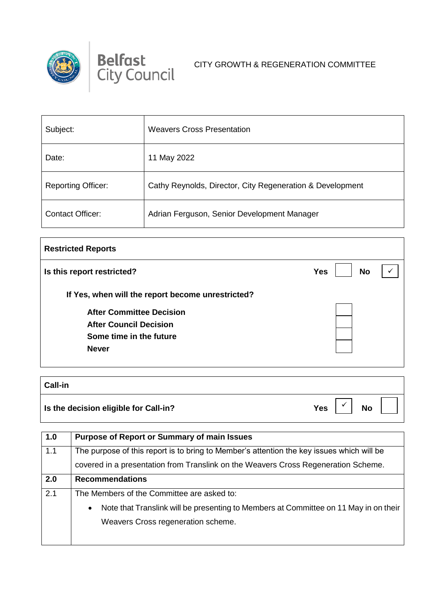

## **Belfast** CITY GROWTH & REGENERATION COMMITTEE

| Subject:                  | <b>Weavers Cross Presentation</b>                         |
|---------------------------|-----------------------------------------------------------|
| Date:                     | 11 May 2022                                               |
| <b>Reporting Officer:</b> | Cathy Reynolds, Director, City Regeneration & Development |
| <b>Contact Officer:</b>   | Adrian Ferguson, Senior Development Manager               |

| Is this report restricted?                        | <b>No</b><br><b>Yes</b> |
|---------------------------------------------------|-------------------------|
| If Yes, when will the report become unrestricted? |                         |
| <b>After Committee Decision</b>                   |                         |
| <b>After Council Decision</b>                     |                         |
| Some time in the future                           |                         |
| <b>Never</b>                                      |                         |

| Call-in                               |     |           |  |
|---------------------------------------|-----|-----------|--|
| Is the decision eligible for Call-in? | Yes | <b>No</b> |  |

| 1.0 | <b>Purpose of Report or Summary of main Issues</b>                                                |  |
|-----|---------------------------------------------------------------------------------------------------|--|
| 1.1 | The purpose of this report is to bring to Member's attention the key issues which will be         |  |
|     | covered in a presentation from Translink on the Weavers Cross Regeneration Scheme.                |  |
| 2.0 | <b>Recommendations</b>                                                                            |  |
| 2.1 | The Members of the Committee are asked to:                                                        |  |
|     | Note that Translink will be presenting to Members at Committee on 11 May in on their<br>$\bullet$ |  |
|     | Weavers Cross regeneration scheme.                                                                |  |
|     |                                                                                                   |  |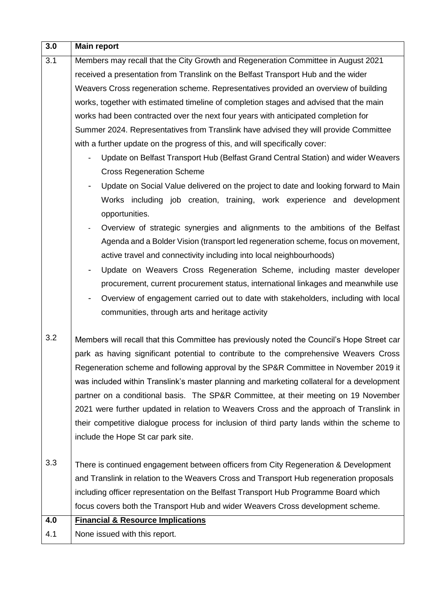| 3.0 | <b>Main report</b>                                                                                                               |  |
|-----|----------------------------------------------------------------------------------------------------------------------------------|--|
| 3.1 | Members may recall that the City Growth and Regeneration Committee in August 2021                                                |  |
|     | received a presentation from Translink on the Belfast Transport Hub and the wider                                                |  |
|     | Weavers Cross regeneration scheme. Representatives provided an overview of building                                              |  |
|     | works, together with estimated timeline of completion stages and advised that the main                                           |  |
|     | works had been contracted over the next four years with anticipated completion for                                               |  |
|     | Summer 2024. Representatives from Translink have advised they will provide Committee                                             |  |
|     | with a further update on the progress of this, and will specifically cover:                                                      |  |
|     | Update on Belfast Transport Hub (Belfast Grand Central Station) and wider Weavers                                                |  |
|     | <b>Cross Regeneration Scheme</b>                                                                                                 |  |
|     | Update on Social Value delivered on the project to date and looking forward to Main<br>$\blacksquare$                            |  |
|     | Works including job creation, training, work experience and development<br>opportunities.                                        |  |
|     | Overview of strategic synergies and alignments to the ambitions of the Belfast<br>$\overline{\phantom{a}}$                       |  |
|     | Agenda and a Bolder Vision (transport led regeneration scheme, focus on movement,                                                |  |
|     | active travel and connectivity including into local neighbourhoods)                                                              |  |
|     | Update on Weavers Cross Regeneration Scheme, including master developer<br>$\overline{\phantom{a}}$                              |  |
|     | procurement, current procurement status, international linkages and meanwhile use                                                |  |
|     | Overview of engagement carried out to date with stakeholders, including with local<br>۰                                          |  |
|     | communities, through arts and heritage activity                                                                                  |  |
|     |                                                                                                                                  |  |
| 3.2 | Members will recall that this Committee has previously noted the Council's Hope Street car                                       |  |
|     | park as having significant potential to contribute to the comprehensive Weavers Cross                                            |  |
|     | Regeneration scheme and following approval by the SP&R Committee in November 2019 it                                             |  |
|     | was included within Translink's master planning and marketing collateral for a development                                       |  |
|     | partner on a conditional basis. The SP&R Committee, at their meeting on 19 November                                              |  |
|     | 2021 were further updated in relation to Weavers Cross and the approach of Translink in                                          |  |
|     | their competitive dialogue process for inclusion of third party lands within the scheme to<br>include the Hope St car park site. |  |
|     |                                                                                                                                  |  |
| 3.3 | There is continued engagement between officers from City Regeneration & Development                                              |  |
|     | and Translink in relation to the Weavers Cross and Transport Hub regeneration proposals                                          |  |
|     | including officer representation on the Belfast Transport Hub Programme Board which                                              |  |
|     | focus covers both the Transport Hub and wider Weavers Cross development scheme.                                                  |  |
| 4.0 | <b>Financial &amp; Resource Implications</b>                                                                                     |  |
| 4.1 | None issued with this report.                                                                                                    |  |